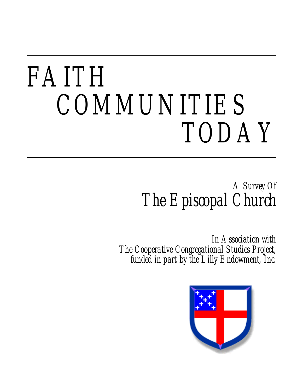# *FAITH COMMUNITIES TODAY*

*A Survey Of The Episcopal Church*

*In Association with The Cooperative Congregational Studies Project, funded in part by the Lilly Endowment, Inc.*

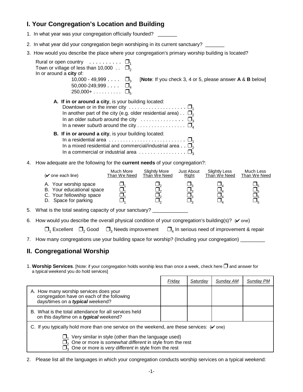## **I. Your Congregation's Location and Building**

- 1. In what year was your congregation officially founded? \_\_\_\_\_\_\_
- 2. In what year did your congregation begin worshiping in its current sanctuary?
- 3. How would you describe the place where your congregation's primary worship building is located?

| Rural or open country $\ldots \ldots \ldots \square_1$<br>Town or village of less than 10,000 $\ldots$ $\Box$ <sub>2</sub><br>In or around a city of:<br>10,000 - 49,999 $\ldots$ $\Box$ <sub>3</sub><br><b>[Note:</b> If you check 3, 4 or 5, please answer $A \& B$ below]<br>50,000-249,999 $\ldots$ $\Box$ |  |
|----------------------------------------------------------------------------------------------------------------------------------------------------------------------------------------------------------------------------------------------------------------------------------------------------------------|--|
| A. If in or around a city, is your building located:<br>Downtown or in the inner city $\ldots \ldots \ldots \ldots \ldots \ldots \square_1$<br>In another part of the city (e.g. older residential area). $\Box$<br>In an older suburb around the city $\ldots$                                                |  |
| <b>B.</b> If in or around a city, is your building located:<br>In a residential area $\ldots \ldots \ldots \ldots \ldots \ldots \ldots \ldots \square$<br>In a mixed residential and commercial/industrial area $\Box_2$                                                                                       |  |
| 4. How adequate are the following for the <b>current needs</b> of your congregation?:                                                                                                                                                                                                                          |  |
| Much More Slightly More Lust About Slightly Less<br>MuchLog                                                                                                                                                                                                                                                    |  |

| $(\vee)$ one each line)                                                                                | Much More    | <b>Slightly More</b> | Just About   | <b>Slightly Less</b> | Much Less    |
|--------------------------------------------------------------------------------------------------------|--------------|----------------------|--------------|----------------------|--------------|
|                                                                                                        | Than We Need | Than We Need         | <b>Right</b> | Than We Need         | Than We Need |
| A. Your worship space<br>B. Your educational space<br>C. Your fellowship space<br>D. Space for parking |              |                      |              |                      |              |

- 5. What is the total seating capacity of your sanctuary?
- 6. How would you describe the overall physical condition of your congregation's building(s)? ( $\vee$  one)

|  |  |  | $\Box_1$ Excellent $\Box_2$ Good $\Box_3$ Needs improvement $\Box_4$ In serious need of improvement & repair |
|--|--|--|--------------------------------------------------------------------------------------------------------------|
|--|--|--|--------------------------------------------------------------------------------------------------------------|

7. How many congregations use your building space for worship? (Including your congregation) \_\_\_\_\_\_\_\_\_\_\_\_\_\_\_\_\_

### **II. Congregational Worship**

1. Worship Services. [Note: if your congregation holds worship less than once a week, check here  $\Box$  and answer for a typical weekend you do hold services]

|                                                                                                                                                                                                              | <b>Friday</b> | <b>Saturday</b> | <u>Sunday AM</u> | Sunday PM |  |  |  |
|--------------------------------------------------------------------------------------------------------------------------------------------------------------------------------------------------------------|---------------|-----------------|------------------|-----------|--|--|--|
| A. How many worship services does your<br>congregation have on each of the following<br>days/times on a typical weekend?                                                                                     |               |                 |                  |           |  |  |  |
| B. What is the total attendance for all services held<br>on this day/time on a typical weekend?                                                                                                              |               |                 |                  |           |  |  |  |
| C. If you typically hold more than one service on the weekend, are these services: $(v$ one)                                                                                                                 |               |                 |                  |           |  |  |  |
| Very similar in style (other than the language used)<br>$\Box$ , One or more is somewhat different in style from the rest<br>$\Box$ <sub>3</sub> One or more is <i>very different</i> in style from the rest |               |                 |                  |           |  |  |  |

2. Please list all the languages in which your congregation conducts worship services on a typical weekend: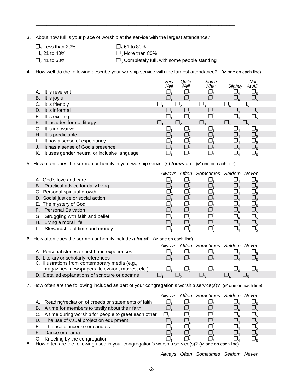3. About how full is your place of worship at the service with the largest attendance?

- $\Box_1$  Less than 20%  $\Box_4$  61 to 80%  $\Box_2$  21 to 40%  $\Box_5$  More than
- $\Box_2$  21 to 40%  $\Box_5$  More than 80%  $\Box_3$  41 to 60%  $\Box_6$  Completely full,
- 

 $\_$  , and the state of the state of the state of the state of the state of the state of the state of the state of the state of the state of the state of the state of the state of the state of the state of the state of the

 $\overline{\Box}_6$  Completely full, with some people standing

4. How well do the following describe your worship service with the largest attendance?  $(\vee$  one on each line)

|    |                                              | Very<br><u>Well</u> | Quite<br>Well | Some-<br><b>What</b> | Slightly | Not<br>At All |  |
|----|----------------------------------------------|---------------------|---------------|----------------------|----------|---------------|--|
|    | It is reverent                               |                     |               |                      |          |               |  |
| B. | It is joyful                                 |                     |               |                      |          |               |  |
| C. | It is friendly                               |                     |               | $\Box$               |          |               |  |
| D. | It is informal                               |                     |               |                      |          |               |  |
| Е. | It is exciting                               |                     |               |                      |          |               |  |
|    | F. It includes formal liturgy                |                     |               | $\Box_{\tiny{3}}$    |          |               |  |
|    | G. It is innovative                          |                     |               |                      |          |               |  |
|    | H. It is predictable                         |                     |               |                      |          |               |  |
|    | It has a sense of expectancy                 |                     |               |                      |          |               |  |
| J. | It has a sense of God's presence             |                     |               |                      |          |               |  |
| Κ. | It uses gender neutral or inclusive language |                     |               |                      |          |               |  |

5. How often does the sermon or homily in your worship service(s) *focus* on: (v one on each line)

|                                      |  | Often Sometimes Seldom Never |  |  |
|--------------------------------------|--|------------------------------|--|--|
| A. God's love and care               |  |                              |  |  |
| B. Practical advice for daily living |  |                              |  |  |
| C. Personal spiritual growth         |  |                              |  |  |
| D. Social justice or social action   |  |                              |  |  |
| E. The mystery of God                |  |                              |  |  |
| F. Personal Salvation                |  |                              |  |  |
| G. Struggling with faith and belief  |  |                              |  |  |
| H. Living a moral life               |  |                              |  |  |
| Stewardship of time and money        |  |                              |  |  |

6. How often does the sermon or homily include  $a$  lot of:  $(v)$  one on each line)

|                                                   | Alwavs | Often Sometimes Seldom | Never |  |
|---------------------------------------------------|--------|------------------------|-------|--|
| A. Personal stories or first-hand experiences     |        |                        |       |  |
| B. Literary or scholarly references               |        |                        |       |  |
| C. Illustrations from contemporary media (e.g.,   |        |                        |       |  |
| magazines, newspapers, television, movies, etc.)  |        |                        |       |  |
| D. Detailed explanations of scripture or doctrine |        |                        |       |  |

7. How often are the following included as part of your congregation's worship service(s)? ( $\vee$  one on each line)

|    |                                                                                                        | Alwavs | Often | Sometimes Seldom | Never |  |
|----|--------------------------------------------------------------------------------------------------------|--------|-------|------------------|-------|--|
| Α. | Reading/recitation of creeds or statements of faith                                                    |        |       |                  |       |  |
|    | B. A time for members to testify about their faith                                                     |        |       |                  |       |  |
|    | C. A time during worship for people to greet each other                                                |        |       |                  |       |  |
|    | D. The use of visual projection equipment                                                              |        |       |                  |       |  |
|    | E. The use of incense or candles                                                                       |        |       |                  |       |  |
| F. | Dance or drama                                                                                         |        |       |                  |       |  |
|    | G. Kneeling by the congregation                                                                        |        |       |                  |       |  |
|    | How often are the following used in your congregation's worship service(s)? ( $\vee$ one on each line) |        |       |                  |       |  |

8. How often are the following used in your congregation's worship service(s)? ( $\checkmark$  one on each line)

*Always Often Sometimes Seldom Never*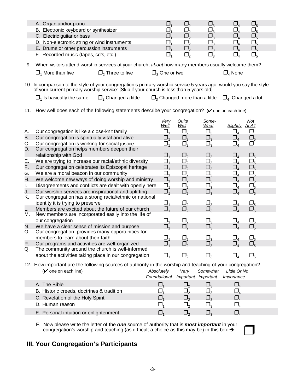|    | A. Organ and/or piano                                                                              |  |  |  |
|----|----------------------------------------------------------------------------------------------------|--|--|--|
|    | B. Electronic keyboard or synthesizer                                                              |  |  |  |
|    | C. Electric guitar or bass                                                                         |  |  |  |
|    | D. Non-electronic string or wind instruments                                                       |  |  |  |
|    | E. Drums or other percussion instruments                                                           |  |  |  |
|    | F. Recorded music (tapes, cd's, etc.)                                                              |  |  |  |
| 9. | When visitors attend worship services at your church, about how many members usually welcome them? |  |  |  |

 $\Box_1$  More than five  $\Box_2$  Three to five  $\Box_3$  One or two  $\Box_4$  None

10. In comparison to the style of your congregation's primary worship service 5 years ago, would you say the style of your current primary worship service: [Skip if your church is less than 5 years old]

 $\Box_1$  Is basically the same  $\Box_2$  Changed a little  $\Box_3$  Changed more than a little  $\Box_4$  Changed a lot

11. How well does each of the following statements describe your congregation?  $(V$  one on each line)

|    |                                                         | Verv<br>Well                   | Quite<br>Well                  | Some-<br>What | Slightly<br>At All               | Not           |
|----|---------------------------------------------------------|--------------------------------|--------------------------------|---------------|----------------------------------|---------------|
| А. | Our congregation is like a close-knit family            |                                | $\square_{2}$                  | $\Box_3$      | $\sqcup_{\scriptscriptstyle{A}}$ | $\mathbf{L}$  |
| В. | Our congregation is spiritually vital and alive         | $\Box$                         | $\square_{2}$                  | $\square_3$   | $\Box_{\scriptscriptstyle{4}}$   | $\square_{5}$ |
| C. | Our congregation is working for social justice          | $\Box$                         | $\Box_2$                       | $\Box_3$      | $\Box_{\scriptscriptstyle{4}}$   | П             |
| D. | Our congregation helps members deepen their             |                                |                                |               |                                  |               |
|    | relationship with God                                   | $\Box_4$                       | $\Box_{2}$                     | $\Box_3$      | $\Box_{4}$                       | $\square_{5}$ |
| Е. | We are trying to increase our racial/ethnic diversity   | $\mathbin{\sqcup}$             | $\Box_{\scriptscriptstyle{2}}$ |               | $\Box_{4}$                       | $\square_{5}$ |
| F. | Our congregation celebrates its Episcopal heritage      | $\mathsf{L}$                   | $\square_{2}$                  | $\Box_3$      | $\Box_{\scriptscriptstyle{4}}$   | $\square_{5}$ |
| G. | We are a moral beacon in our community                  | $\Box$                         | $\Box_{\scriptscriptstyle{2}}$ | $\Box_{_3}$   | $\Box_{\scriptscriptstyle 4}$    | $\Box_5$      |
| Η. | We welcome new ways of doing worship and ministry       | $\Box_1$                       | $\Box_2$                       | $\square_3$   | $\Box_{4}$                       | $\square_{5}$ |
| L. | Disagreements and conflicts are dealt with openly here  | $\Box_{\scriptscriptstyle{1}}$ | $\Box_{2}$                     |               | $\Box_{\scriptscriptstyle 4}$    | $\square_{5}$ |
| J. | Our worship services are inspirational and uplifting    | $\Box_{\scriptscriptstyle{1}}$ | $\Box_{2}$                     | $\Box_3$      | $\Box_{4}$                       | $\square_{5}$ |
| Κ. | Our congregation has a strong racial/ethnic or national |                                |                                |               |                                  |               |
|    | identity it is trying to preserve                       | $\mathbin{\sqcup}_4$           | $\Box_{2}$                     | $\Box_3$      | $\Box_{4}$                       | $\square_{5}$ |
| L. | Members are excited about the future of our church      | $\Box$                         | $\Box_{\scriptscriptstyle{2}}$ | $\Box$        | $\Box_{\scriptscriptstyle{A}}$   | $\square_{5}$ |
| М. | New members are incorporated easily into the life of    |                                |                                |               |                                  |               |
|    | our congregation                                        |                                | $\Box_2$                       | $\Box_3$      | $\Box_{\scriptscriptstyle{4}}$   | $\square_{5}$ |
| N. | We have a clear sense of mission and purpose            | $\mathbf{L}$                   | $\Box_{2}$                     | $\Box$        | $\Box_{\scriptscriptstyle{4}}$   | $\square_{5}$ |
| О. | Our congregation provides many opportunities for        |                                |                                |               |                                  |               |
|    | members to learn about their faith                      |                                | $\Box_2$                       | $\Box$        | $\Box_{\scriptscriptstyle{4}}$   | $\square_{5}$ |
| Р. | Our programs and activities are well-organized          | $\Box_1$                       | $\Box_{2}$                     | $\Box_3$      | $\Box_{\scriptscriptstyle{A}}$   | $\square_{5}$ |
| Q. | The community around the church is well-informed        |                                |                                |               |                                  |               |
|    | about the activities taking place in our congregation   |                                |                                |               |                                  |               |

12. How important are the following sources of authority in the worship and teaching of your congregation?

| $(V$ one on each line)                    | Absolutely   | Verv      | Somewhat          | Little Or No |  |
|-------------------------------------------|--------------|-----------|-------------------|--------------|--|
|                                           | Foundational | Important | Important         | Importance   |  |
| A. The Bible                              |              |           | ⊔∘                |              |  |
| B. Historic creeds, doctrines & tradition |              |           |                   |              |  |
| C. Revelation of the Holy Spirit          |              |           | $\Box_{\tiny{2}}$ |              |  |
| D. Human reason                           |              |           |                   |              |  |
| E. Personal intuition or enlightenment    |              |           |                   |              |  |

F. Now please write the letter of the **one** source of authority that is **most important** in your congregation's worship and teaching (as difficult a choice as this may be) in this box  $\rightarrow$ 

## **III. Your Congregation's Participants**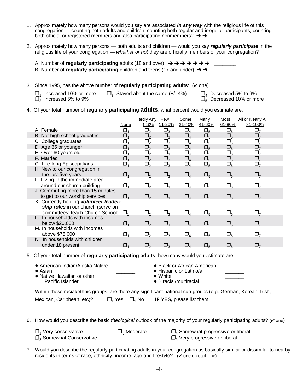- 1. Approximately how many persons would you say are associated *in any way* with the religious life of this congregation — counting both adults and children, counting both regular and irregular participants, counting both official or registered members and also participating nonmembers?  $\rightarrow \rightarrow$
- 2. Approximately how many persons both adults and children would you say *regularly participate* in the religious life of your congregation — *whether or not* they are officially members of your congregation?

| B. Number of regularly participating children and teens (17 and under) $\rightarrow \rightarrow$ |  |
|--------------------------------------------------------------------------------------------------|--|

3. Since 1995, has the above number of **regularly participating adults**:  $(\vee$  one)

 $\Box_1$  Increased 10% or more  $\Box_3$  Stayed about the same (+/- 4%)  $\Box_2$  Increased 5% to 9%

 $\Box_4$  Decreased 5% to 9%<br> $\Box_5$  Decreased 10% or more

- 
- 4. Of your total number of **regularly participating adults**, what percent would you estimate are:

|                                        |                                | Hardly Any             | Few         | Some                           | Many          | Most               | All or Nearly All |
|----------------------------------------|--------------------------------|------------------------|-------------|--------------------------------|---------------|--------------------|-------------------|
|                                        | None                           | 1-10%                  | 11-20%      | 21-40%                         | 41-60%        | 61-80%             | 81-100%           |
| A. Female                              | $\Box_1$                       | $\Box$                 | $\Box_3$    | $\Box_4$                       | $\square_{5}$ | $\square_6$        | $\Box$            |
| B. Not high school graduates           | $\Box_{\scriptscriptstyle{1}}$ | $\Box_2$               | $\Box_3$    | $\square_{4}$                  | $\Box_5$      | $\square_{6}$      | $\Box$            |
| C. College graduates                   | $\Box_1$                       | $\Box_2$               | $\Box_3$    | $\Box_4$                       | $\Box_5$      | $\Box_6$           | $\Box_7$          |
| D. Age 35 or younger                   | $\Box_{\scriptscriptstyle{1}}$ | $\Box_2$               | $\Box_3$    | $\Box_4$                       | $\Box_5$      | $\Box_6$           | $\Box$            |
| E. Over 60 years old                   | σ,                             | $\Box_2$               | $\Box_3$    | $\Box_{4}$                     | $\square_5$   | $\square_6$        |                   |
| F. Married                             | $\Box_{\scriptscriptstyle{1}}$ | $\Box_2$               | $\Box_3$    | $\Box_{4}$                     | $\square_5$   | $\square_6$        | $\square$         |
| G. Life-long Episcopalians             | Ω,                             | $\square_{2}$          | $\Box_3$    | $\Box_{4}$                     | $\square_{5}$ | $\Box_6$           |                   |
| H. New to our congregation in          |                                |                        |             |                                |               |                    |                   |
| the last five years                    | $\Box$                         | $\square$ <sub>2</sub> | $\Box_3$    | $\Box_{4}$                     | $\square_{5}$ | $\square_6$        | $\Box_7$          |
| I. Living in the immediate area        |                                |                        |             |                                |               |                    |                   |
| around our church building             | $\Box_1$                       | $\square_2$            | $\Box_3$    | $\Box_{\scriptscriptstyle{A}}$ | $\square_{5}$ | $\square_{\kappa}$ | $\sqcup_{7}$      |
| J. Commuting more than 15 minutes      |                                |                        |             |                                |               |                    |                   |
| to get to our worship services         | $\Box$                         | $\square$ ,            | $\Box_3$    | $\Box_{4}$                     | $\square_{5}$ | $\square_{\kappa}$ | $\mathbf{L}_{7}$  |
| K. Currently holding volunteer leader- |                                |                        |             |                                |               |                    |                   |
| ship roles in our church (serve on     |                                |                        |             |                                |               |                    |                   |
| committees; teach Church School)       | $\Box$                         | $\square_2$            | $\Box_3$    | $\Box_{4}$                     | $\square_{5}$ | $\square_6$        | $\Box_7$          |
| L. In households with incomes          |                                |                        |             |                                |               |                    |                   |
| below \$20,000                         | $\Box$ <sub>1</sub>            | $\square$ <sub>2</sub> | $\Box_3$    | $\Box_{4}$                     | $\square_5$   | $\square_{\kappa}$ | $\square$         |
| M. In households with incomes          |                                |                        |             |                                |               |                    |                   |
| above \$75,000                         | $\Box_1$                       | $\Box_2$               | $\Box_3$    | $\Box_{4}$                     | $\square_{5}$ | $\square_6$        |                   |
| N. In households with children         |                                |                        |             |                                |               |                    |                   |
| under 18 present                       | $\Box_1$                       | $\Box$ <sub>2</sub>    | $\square_3$ | $\Box_4$                       | $\Box_5$      | $\sqcup_{\kappa}$  | $\Box$            |
|                                        |                                |                        |             |                                |               |                    |                   |

5. Of your total number of **regularly participating adults**, how many would you estimate are:

| • American Indian/Alaska Native<br>$\bullet$ Asian<br>• Native Hawaiian or other<br>Pacific Islander          |                          | • Black or African American<br>• Hispanic or Latino/a<br>$\bullet$ White<br>$\bullet$ Biracial/multiracial |  |
|---------------------------------------------------------------------------------------------------------------|--------------------------|------------------------------------------------------------------------------------------------------------|--|
| Within these racial/ethnic groups, are there any significant national sub-groups (e.g. German, Korean, Irish, |                          |                                                                                                            |  |
| Mexican, Caribbean, etc)?                                                                                     | $\Box_1$ Yes $\Box_2$ No | <b>IF YES, please list them</b>                                                                            |  |

 $\Box$ 

6. How would you describe the basic *theological* outlook of the majority of your regularly participating adults? ( $\vee$  one)

| $\Box$ Very conservative                  | $\Box$ <sub>3</sub> Moderate | $\square$ <sub>4</sub> Somewhat progressive or liberal |
|-------------------------------------------|------------------------------|--------------------------------------------------------|
| $\Box$ <sub>2</sub> Somewhat Conservative |                              | $\square_{5}$ Very progressive or liberal              |

7. Would you describe the regularly participating adults in your congregation as basically similar or dissimilar to nearby residents in terms of race, ethnicity, income, age and lifestyle?  $(\vee$  one on each line)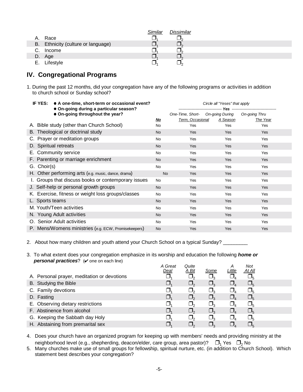|    |                                    | <b>Similar</b> | <b>Dissimilar</b> |
|----|------------------------------------|----------------|-------------------|
|    | A. Race                            |                |                   |
|    | B. Ethnicity (culture or language) |                |                   |
|    | C. Income                          |                |                   |
|    | D. Age                             |                |                   |
| Е. | Lifestyle                          |                |                   |

#### **IV. Congregational Programs**

1. During the past 12 months, did your congregation have any of the following programs or activities in addition to church school or Sunday school?

| IF YES:<br>• A one-time, short-term or occasional event?<br>• On-going during a particular season? |  |           | Circle all "Yeses" that apply    |          |               |
|----------------------------------------------------------------------------------------------------|--|-----------|----------------------------------|----------|---------------|
| • On-going throughout the year?                                                                    |  |           | One-Time, Short- On-going During |          | On-going Thru |
|                                                                                                    |  | <u>No</u> | Term, Occasional                 | A Season | The Year      |
| A. Bible study (other than Church School)                                                          |  | No        | Yes                              | Yes      | Yes           |
| B. Theological or doctrinal study                                                                  |  | <b>No</b> | Yes                              | Yes      | <b>Yes</b>    |
| C. Prayer or meditation groups                                                                     |  | <b>No</b> | Yes                              | Yes      | <b>Yes</b>    |
| D. Spiritual retreats                                                                              |  | <b>No</b> | <b>Yes</b>                       | Yes      | <b>Yes</b>    |
| E. Community service                                                                               |  | <b>No</b> | Yes                              | Yes      | Yes           |
| F. Parenting or marriage enrichment                                                                |  | <b>No</b> | <b>Yes</b>                       | Yes      | <b>Yes</b>    |
| G. Choir(s)                                                                                        |  | <b>No</b> | Yes                              | Yes      | Yes           |
| H. Other performing arts (e.g. music, dance, drama)                                                |  | <b>No</b> | <b>Yes</b>                       | Yes      | Yes           |
| I. Groups that discuss books or contemporary issues                                                |  | <b>No</b> | Yes                              | Yes      | Yes           |
| J. Self-help or personal growth groups                                                             |  | <b>No</b> | <b>Yes</b>                       | Yes      | Yes           |
| K. Exercise, fitness or weight loss groups/classes                                                 |  | <b>No</b> | Yes                              | Yes      | Yes           |
| L. Sports teams                                                                                    |  | <b>No</b> | Yes                              | Yes      | <b>Yes</b>    |
| M. Youth/Teen activities                                                                           |  | <b>No</b> | Yes                              | Yes      | Yes           |
| N. Young Adult activities                                                                          |  | <b>No</b> | Yes                              | Yes      | <b>Yes</b>    |
| O. Senior Adult activities                                                                         |  | <b>No</b> | Yes                              | Yes      | Yes           |
| P. Mens/Womens ministries (e.g. ECW, Promisekeepers)                                               |  | <b>No</b> | Yes                              | Yes      | Yes           |

- 2. About how many children and youth attend your Church School on a typical Sunday? \_\_\_\_\_\_\_\_
- 3. To what extent does your congregation emphasize in its worship and education the following *home or personal practices*? ( $\vee$  one on each line)

|                                             | A Great<br><u>Deal</u> | Quite<br>A Bit | Some     | Little | <b>Not</b><br><u>At All</u> |  |
|---------------------------------------------|------------------------|----------------|----------|--------|-----------------------------|--|
| A. Personal prayer, meditation or devotions |                        | $\Box$         |          |        |                             |  |
| B. Studying the Bible                       |                        | $\Box$         |          |        |                             |  |
| C. Family devotions                         |                        | <u>J</u>       |          |        |                             |  |
| D. Fasting                                  |                        | $\square$ ,    | $\Box_2$ |        |                             |  |
| E. Observing dietary restrictions           |                        | $\Box$         |          |        |                             |  |
| F. Abstinence from alcohol                  |                        | $\Box$         |          |        |                             |  |
| G. Keeping the Sabbath day Holy             |                        | $\Box$         |          |        |                             |  |
| H. Abstaining from premarital sex           |                        | $\Box$         |          |        |                             |  |

- 4. Does your church have an organized program for keeping up with members' needs and providing ministry at the neighborhood level (e.g., shepherding, deacon/elder, care group, area pastor)?  $\Box_1$  Yes  $\Box_2$  No
- 5. Many churches make use of small groups for fellowship, spiritual nurture, etc. (in addition to Church School). Which statement best describes your congregation?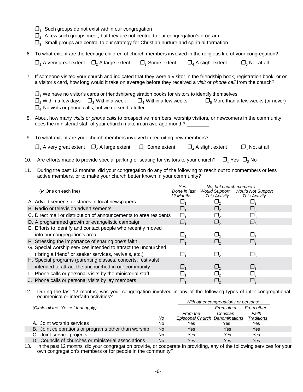- $\Box$ <sub>1</sub> Such groups do not exist within our congregation
- $\Box$ <sub>2</sub> A few such groups meet, but they are not central to our congregation's program
- $\square$ <sub>3</sub> Small groups are central to our strategy for Christian nurture and spiritual formation
- 6. To what extent are the teenage children of church members involved in the religious life of your congregation?

| $\Box_1$ A very great extent $\Box_2$ A large extent $\Box_3$ Some extent $\Box_4$ A slight extent |  | $\Box_5$ Not at all |
|----------------------------------------------------------------------------------------------------|--|---------------------|
|                                                                                                    |  |                     |

7. If someone visited your church and indicated that they were a visitor in the friendship book, registration book, or on a visitor's card, how long would it take on average before they received a *visit* or *phone call* from the church?

| $\Box_1$ We have no visitor's cards or friendship/registration books for visitors to identify themselves |  |
|----------------------------------------------------------------------------------------------------------|--|
|----------------------------------------------------------------------------------------------------------|--|

| $\Box_2$ Within a few days $\Box_3$ Within a week                    | $\square$ <sub>4</sub> Within a few weeks | $\square_{5}$ More than a few weeks (or never) |
|----------------------------------------------------------------------|-------------------------------------------|------------------------------------------------|
| $\square_{\kappa}$ No visits or phone calls, but we do send a letter |                                           |                                                |

8. About how many *visits* or *phone calls* to prospective members, worship visitors, or newcomers in the community does the ministerial staff of your church make in an average month? \_\_\_\_\_\_\_

| 9. To what extent are your church members involved in recruiting new members? |  |                                     |                       |
|-------------------------------------------------------------------------------|--|-------------------------------------|-----------------------|
| $\Box_1$ A very great extent $\Box_2$ A large extent $\Box_3$ Some extent     |  | $\Box$ <sub>4</sub> A slight extent | $\Box_{5}$ Not at all |

- 10. Are efforts made to provide special parking or seating for visitors to your church?  $\Box_1$  Yes  $\Box_2$  No
- 11. During the past 12 months, did your congregation do any of the following to reach out to nonmembers or less active members, or to make your church better known in your community?

|                                                                   | Yes          |                      | No, but church members   |  |
|-------------------------------------------------------------------|--------------|----------------------|--------------------------|--|
| $(V$ One on each line)                                            | Done in last | <b>Would Support</b> | <b>Would Not Support</b> |  |
|                                                                   | 12 Months    | This Activity        | <b>This Activity</b>     |  |
| A. Advertisements or stories in local newspapers                  |              |                      |                          |  |
| B. Radio or television advertisements                             |              |                      |                          |  |
| C. Direct mail or distribution of announcements to area residents |              |                      | $\mathsf{\omega}_2$      |  |
| D. A programmed growth or evangelistic campaign                   |              |                      | $\Box$                   |  |
| E. Efforts to identify and contact people who recently moved      |              |                      |                          |  |
| into our congregation's area                                      |              |                      |                          |  |
| F. Stressing the importance of sharing one's faith                |              |                      | $\Box$                   |  |
| G. Special worship services intended to attract the unchurched    |              |                      |                          |  |
| ("bring a friend" or seeker services, revivals, etc.)             |              |                      | $\Box$                   |  |
| H. Special programs (parenting classes, concerts, festivals)      |              |                      |                          |  |
| intended to attract the unchurched in our community               |              | $\Box$ ,             | $\Box$                   |  |
| I. Phone calls or personal visits by the ministerial staff        |              |                      |                          |  |
| J. Phone calls or personal visits by lay members                  |              |                      |                          |  |

12. During the last 12 months, was your congregation involved in any of the following types of inter-congregational, ecumenical or interfaith activities?

|                                                      |           | With other congregations or persons: |            |                   |  |  |
|------------------------------------------------------|-----------|--------------------------------------|------------|-------------------|--|--|
| (Circle all the "Yeses" that apply)                  |           |                                      | From other | From other        |  |  |
|                                                      |           | From the                             | Christian  | Faith             |  |  |
|                                                      | <u>No</u> | Episcopal Church Denominations       |            | <b>Traditions</b> |  |  |
| A. Joint worship services                            | No        | Yes                                  | Yes        | Yes               |  |  |
| B. Joint celebrations or programs other than worship | No        | Yes                                  | Yes        | Yes               |  |  |
| C. Joint service projects                            | No        | Yes                                  | Yes        | Yes               |  |  |
| D. Councils of churches or ministerial associations  | No        | Yes                                  | Yes        | Yes               |  |  |

13. In the past 12 months, did your congregation provide, or cooperate in providing, any of the following services for your own congregation's members or for people in the community?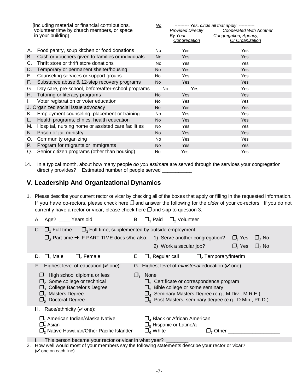| [including material or financial contributions, |                                                    | <u>No</u>      |                          | --------- Yes, circle all that apply ----------- |
|-------------------------------------------------|----------------------------------------------------|----------------|--------------------------|--------------------------------------------------|
| volunteer time by church members, or space      |                                                    |                | <b>Provided Directly</b> | Cooperated With Another                          |
| in your building]                               |                                                    |                | By Your                  | Congregation, Agency,                            |
|                                                 |                                                    |                | <b>Congregation</b>      | Or Organization                                  |
| А.                                              | Food pantry, soup kitchen or food donations        | No.            | Yes                      | <b>Yes</b>                                       |
| В.                                              | Cash or vouchers given to families or individuals  | <b>No</b>      | <b>Yes</b>               | <b>Yes</b>                                       |
| C.                                              | Thrift store or thrift store donations             | <b>No</b>      | Yes                      | <b>Yes</b>                                       |
| D.                                              | Temporary or permanent shelter/housing             | No.            | <b>Yes</b>               | <b>Yes</b>                                       |
| Е.                                              | Counseling services or support groups              | No.            | Yes                      | Yes                                              |
| F.                                              | Substance abuse & 12-step recovery programs        | No.            | <b>Yes</b>               | <b>Yes</b>                                       |
| G.                                              | Day care, pre-school, before/after-school programs | <b>No</b>      | Yes                      | Yes                                              |
| Н.                                              | Tutoring or literacy programs                      | No             | Yes                      | Yes                                              |
|                                                 | Voter registration or voter education              | No.            | Yes                      | Yes                                              |
|                                                 | J. Organized social issue advocacy                 | No.            | <b>Yes</b>               | <b>Yes</b>                                       |
| K.                                              | Employment counseling, placement or training       | N <sub>o</sub> | Yes                      | <b>Yes</b>                                       |
|                                                 | Health programs, clinics, health education         | No             | Yes                      | Yes                                              |
| M.                                              | Hospital, nursing home or assisted care facilities | No             | Yes                      | Yes                                              |
| N.                                              | Prison or jail ministry                            | No             | <b>Yes</b>               | <b>Yes</b>                                       |
| O.                                              | Community organizing                               | No.            | Yes                      | <b>Yes</b>                                       |
| Р.                                              | Program for migrants or immigrants                 | No             | Yes                      | <b>Yes</b>                                       |
|                                                 | Q. Senior citizen programs (other than housing)    | No             | Yes                      | Yes                                              |

14. In a typical month, about how many people *do you estimate* are served through the services your congregation directly provides? Estimated number of people served \_

## **V. Leadership And Organizational Dynamics**

1. Please describe your current rector or vicar by checking all of the boxes that apply or filling in the requested information. If you have co-rectors, please check here  $\Box$  and answer the following for the *older* of your co-rectors. If you do not currently have a rector or vicar, please check here  $\Box$  and skip to question 3.

| A. Age? _____ Years old                                                                                                                                                                                                                                                | $\Box$ <sub>2</sub> Volunteer<br>$\square$ <sub>1</sub> Paid<br>В.                                                                                                                                                                                                                                                                          |  |  |  |
|------------------------------------------------------------------------------------------------------------------------------------------------------------------------------------------------------------------------------------------------------------------------|---------------------------------------------------------------------------------------------------------------------------------------------------------------------------------------------------------------------------------------------------------------------------------------------------------------------------------------------|--|--|--|
| $\Box_1$ Full time $\Box_2$ Full time, supplemented by outside employment                                                                                                                                                                                              | $\square$ <sub>3</sub> Part time $\rightarrow$ IF PART TIME does s/he also: 1) Serve another congregation?<br>$\Box$ Yes<br>$\Box_2$ No<br>$\Box_1$ Yes<br>$\Box$ <sub>2</sub> No<br>2) Work a secular job?                                                                                                                                 |  |  |  |
| $\Box$ , Female<br>$\Box$ Male<br>D.                                                                                                                                                                                                                                   | $\square$ <sub>2</sub> Temporary/interim<br>$\Box_1$ Regular call<br>Е.                                                                                                                                                                                                                                                                     |  |  |  |
| F. Highest level of education ( $\vee$ one):<br>$\Box_1$ High school diploma or less<br>$\square$ <sub>2</sub> Some college or technical<br>$\square$ <sub>3</sub> College Bachelor's Degree<br>$\square$ <sub>4</sub> Masters Degree<br>$\square_{5}$ Doctoral Degree | G. Highest level of <i>ministerial</i> education $(\vee$ one):<br><b>None</b><br>$\Box$<br>$\square$ <sub>2</sub> Certificate or correspondence program<br>$\square$ <sub>3</sub> Bible college or some seminary<br>$\Box_4$ Seminary Masters Degree (e.g., M.Div., M.R.E.)<br>$\Box_5$ Post-Masters, seminary degree (e.g., D.Min., Ph.D.) |  |  |  |
| H. Race/ethnicity ( $\vee$ one):<br>$\square$ <sub>1</sub> American Indian/Alaska Native<br>$\Box$ <sub>2</sub> Asian<br>$\Box$ <sub>3</sub> Native Hawaiian/Other Pacific Islander                                                                                    | $\square$ <sub>4</sub> Black or African American<br>$\square_{5}$ Hispanic or Latino/a<br>$\Box_{\kappa}$ White<br>Other                                                                                                                                                                                                                    |  |  |  |
| This person became your rector or vicar in what year?<br>I.                                                                                                                                                                                                            |                                                                                                                                                                                                                                                                                                                                             |  |  |  |

2. How well would most of your members say the following statements describe your rector or vicar?  $(v$  one on each line)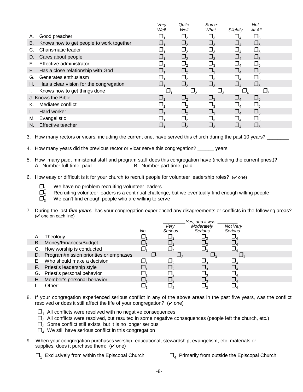|    |                                          | Very | Quite<br>Well | Some-                      |          | <b>Not</b><br>At All |
|----|------------------------------------------|------|---------------|----------------------------|----------|----------------------|
| А. | Good preacher                            | Well |               | <b>What</b><br>$\square_3$ | Slightly |                      |
| В. | Knows how to get people to work together |      |               |                            |          | $\square_{5}$        |
| C. | Charismatic leader                       |      |               |                            |          |                      |
| D. | Cares about people                       |      | $\mathsf{L}$  | $\square$                  |          | $\Box_5$             |
| Е. | Effective administrator                  |      |               |                            |          |                      |
| F. | Has a close relationship with God        |      | $\Box$        | $\Box_{\tiny{3}}$          |          | $\Box_5$             |
| G. | Generates enthusiasm                     |      | $\Box$        |                            |          |                      |
| Н. | Has a clear vision for the congregation  |      | $\square$ ,   | $\Box_3$                   |          | $\square_{5}$        |
|    | Knows how to get things done             |      |               |                            |          |                      |
|    | J. Knows the Bible                       |      | $\Box$        | $\Box$                     |          | $\Box_5$             |
| Κ. | Mediates conflict                        |      | $\Box$        |                            |          |                      |
|    | Hard worker                              |      |               |                            |          | $\Box_5$             |
| М. | Evangelistic                             |      |               |                            |          |                      |
| N. | Effective teacher                        |      | $\Box$        |                            |          |                      |

3. How many rectors or vicars, including the current one, have served this church during the past 10 years?

4. How many years did the previous rector or vicar serve this congregation? \_\_\_\_\_\_ years

- 5. How many paid, ministerial staff and program staff does this congregation have (including the current priest)? A. Number full time, paid \_\_\_\_\_ B. Number part time, paid \_\_\_\_\_
- 6. How easy or difficult is it for your church to recruit people for volunteer leadership roles?  $(V \circ ne)$ 
	-

 $\square_1$  We have no problem recruiting volunteer leaders<br> $\square_2$  Recruiting volunteer leaders is a continual challer

 $\Box_2$  Recruiting volunteer leaders is a continual challenge, but we eventually find enough willing people  $\Box_2$  We can't find enough people who are willing to serve

We can't find enough people who are willing to serve

7. During the last *five years* has your congregation experienced any disagreements or conflicts in the following areas?  $(V$  one on each line)

|    |                                           |           |         | Yes, and it was: |                |  |
|----|-------------------------------------------|-----------|---------|------------------|----------------|--|
|    |                                           |           | Very    | Moderately       | Not Verv       |  |
|    |                                           | <u>No</u> | Serious | Serious          | <b>Serious</b> |  |
| Α. | Theology                                  |           |         |                  |                |  |
| В. | Money/Finances/Budget                     |           |         |                  |                |  |
|    | C. How worship is conducted               |           |         |                  |                |  |
|    | D. Program/mission priorities or emphases |           |         |                  |                |  |
|    | E. Who should make a decision             |           |         |                  |                |  |
|    | F. Priest's leadership style              |           |         |                  |                |  |
|    | G. Priest's personal behavior             |           |         |                  |                |  |
| Н. | Member's personal behavior                |           |         |                  |                |  |
|    | Other:                                    |           |         |                  |                |  |

- 8. If your congregation experienced serious conflict in any of the above areas in the past five years, was the conflict resolved or does it still affect the life of your congregation?  $(\vee$  one)
	- $\Box$ <sub>1</sub> All conflicts were resolved with no negative consequences
	- $\square$ , All conflicts were resolved, but resulted in some negative consequences (people left the church, etc.)
	- $\overline{\Box}_3$  Some conflict still exists, but it is no longer serious
	- $\overline{\Box}_{4}$  We still have serious conflict in this congregation
- 9. When your congregation purchases worship, educational, stewardship, evangelism, etc. materials or supplies, does it purchase them:  $(\vee$  one)
	- $\Box_1$  Exclusively from within the Episcopal Church  $\Box_4$  Primarily from outside the Episcopal Church
		-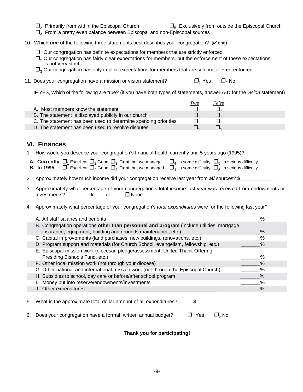- 
- $\Box_2$  Primarily from within the Episcopal Church  $\Box_5$  Exclusively from outside the Episcopal Church
- $\Box$ <sub>3</sub> From a pretty even balance between Episcopal and non-Episcopal sources
- 10. Which **one** of the following three statements best describes your congregation? ( $\vee$  one)
	- $\Box$ <sub>1</sub> Our congregation has definite expectations for members that are strictly enforced
	- $\square$ , Our congregation has fairly clear expectations for members, but the enforcement of these expectations is not very strict
	- $\Box$ <sub>3</sub> Our congregation has only implicit expectations for members that are seldom, if ever, enforced
- 11. Does your congregation have a mission or vision statement?  $\Box_1$  Yes  $\Box_2$  No

IF YES, Which of the following are true? (if you have both types of statements, answer A-D for the *vision* statement)

|                                                                 | <u>True</u> | False |  |
|-----------------------------------------------------------------|-------------|-------|--|
| A. Most members know the statement                              |             |       |  |
| B. The statement is displayed publicly in our church            |             |       |  |
| C. The statement has been used to determine spending priorities |             |       |  |
| D. The statement has been used to resolve disputes              |             |       |  |

### **VI. Finances**

1. How would you describe your congregation's financial health currently and 5 years ago (1995)?

|  | <b>A. Currently</b> : $\Box_1$ Excellent $\Box_2$ Good $\Box_3$ Tight, but we manage $\Box_4$ In some difficulty $\Box_5$ In serious difficulty                                                      |  |
|--|------------------------------------------------------------------------------------------------------------------------------------------------------------------------------------------------------|--|
|  | <b>B. In 1995:</b> $\Box$ <sub>1</sub> Excellent $\Box$ <sub>2</sub> Good $\Box$ <sub>3</sub> Tight, but we managed $\Box$ <sub>4</sub> In some difficulty $\Box$ <sub>5</sub> In serious difficulty |  |

- 2. Approximately how much income did your congregation receive last year from **all** sources? \$
- 3. Approximately what percentage of your congregation's total *income* last year was received from endowments or investments? \_\_\_\_\_\_% or None
- 4. Approximately what percentage of your congregation's *total expenditures* were for the following last year?

| A. All staff salaries and benefits                                                        |      |
|-------------------------------------------------------------------------------------------|------|
| B. Congregation operations other than personnel and program (include utilities, mortgage, |      |
| insurance, equipment, building and grounds maintenance, etc.)                             | ℅    |
| C. Capital improvements (land purchases, new buildings, renovations, etc.)                | %    |
| D. Program support and materials (for Church School, evangelism, fellowship, etc.)        | ℅    |
| E. Episcopal mission work (diocesan pledge/assessment, United Thank Offering,             |      |
| Presiding Bishop's Fund, etc.)                                                            | %    |
| F. Other local mission work (not through your diocese)                                    | $\%$ |
| G. Other national and international mission work (not through the Episcopal Church)       | $\%$ |
| H. Subsidies to school, day care or before/after school program                           | $\%$ |
| I. Money put into reserve/endowments/investments                                          | $\%$ |
| J. Other expenditures                                                                     |      |
|                                                                                           |      |

5. What is the approximate total dollar amount of all expenditures?  $\frac{1}{2}$ 

6. Does your congregation have a formal, written annual budget?  $\Box_1$  Yes  $\Box_2$  No

#### **Thank you for participating!**